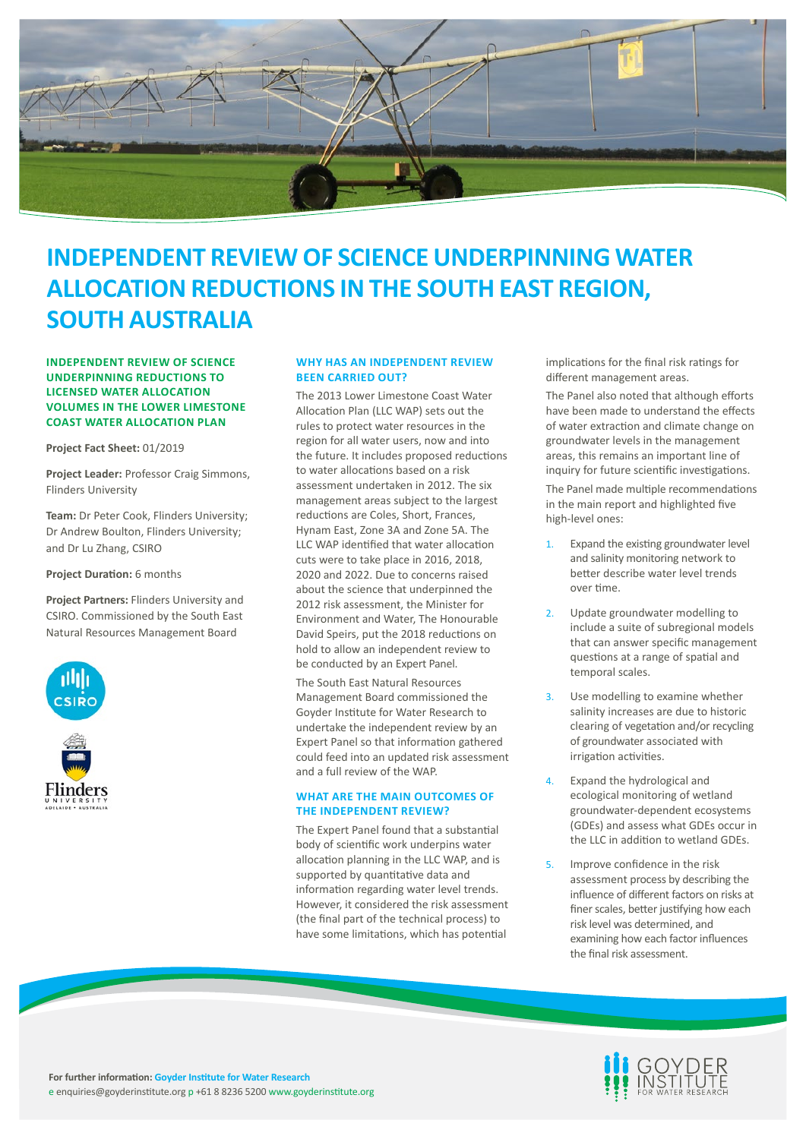

# **INDEPENDENT REVIEW OF SCIENCE UNDERPINNING WATER ALLOCATION REDUCTIONS IN THE SOUTH EAST REGION, SOUTH AUSTRALIA**

**INDEPENDENT REVIEW OF SCIENCE UNDERPINNING REDUCTIONS TO LICENSED WATER ALLOCATION VOLUMES IN THE LOWER LIMESTONE COAST WATER ALLOCATION PLAN**

**Project Fact Sheet:** 01/2019

**Project Leader:** Professor Craig Simmons, Flinders University

**Team:** Dr Peter Cook, Flinders University; Dr Andrew Boulton, Flinders University; and Dr Lu Zhang, CSIRO

**Project Duration:** 6 months

**Project Partners:** Flinders University and CSIRO. Commissioned by the South East Natural Resources Management Board



# **WHY HAS AN INDEPENDENT REVIEW BEEN CARRIED OUT?**

The 2013 Lower Limestone Coast Water Allocation Plan (LLC WAP) sets out the rules to protect water resources in the region for all water users, now and into the future. It includes proposed reductions to water allocations based on a risk assessment undertaken in 2012. The six management areas subject to the largest reductions are Coles, Short, Frances, Hynam East, Zone 3A and Zone 5A. The LLC WAP identified that water allocation cuts were to take place in 2016, 2018, 2020 and 2022. Due to concerns raised about the science that underpinned the 2012 risk assessment, the Minister for Environment and Water, The Honourable David Speirs, put the 2018 reductions on hold to allow an independent review to be conducted by an Expert Panel.

The South East Natural Resources Management Board commissioned the Goyder Institute for Water Research to undertake the independent review by an Expert Panel so that information gathered could feed into an updated risk assessment and a full review of the WAP.

# **WHAT ARE THE MAIN OUTCOMES OF THE INDEPENDENT REVIEW?**

The Expert Panel found that a substantial body of scientific work underpins water allocation planning in the LLC WAP, and is supported by quantitative data and information regarding water level trends. However, it considered the risk assessment (the final part of the technical process) to have some limitations, which has potential

implications for the final risk ratings for different management areas.

The Panel also noted that although efforts have been made to understand the effects of water extraction and climate change on groundwater levels in the management areas, this remains an important line of inquiry for future scientific investigations.

The Panel made multiple recommendations in the main report and highlighted five high-level ones:

- 1. Expand the existing groundwater level and salinity monitoring network to better describe water level trends over time.
- 2. Update groundwater modelling to include a suite of subregional models that can answer specific management questions at a range of spatial and temporal scales.
- 3. Use modelling to examine whether salinity increases are due to historic clearing of vegetation and/or recycling of groundwater associated with irrigation activities.
- Expand the hydrological and ecological monitoring of wetland groundwater-dependent ecosystems (GDEs) and assess what GDEs occur in the LLC in addition to wetland GDEs.
- 5. Improve confidence in the risk assessment process by describing the influence of different factors on risks at finer scales, better justifying how each risk level was determined, and examining how each factor influences the final risk assessment.